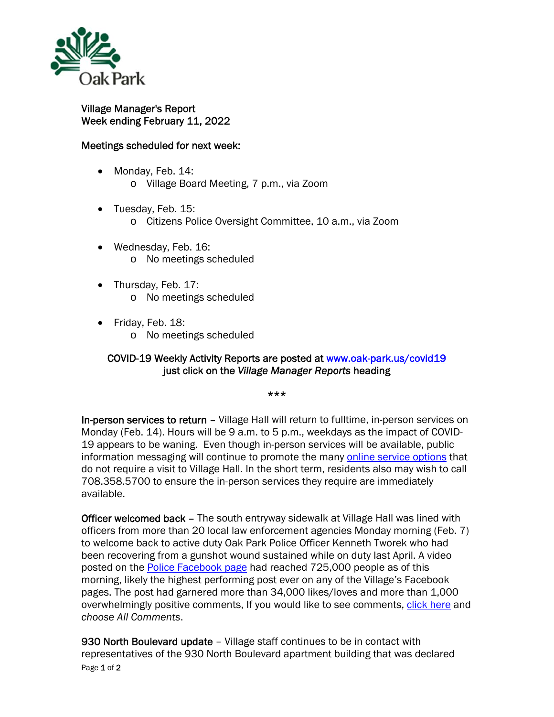

## Village Manager's Report Week ending February 11, 2022

## Meetings scheduled for next week:

- Monday, Feb. 14: o Village Board Meeting, 7 p.m., via Zoom
- Tuesday, Feb. 15: o Citizens Police Oversight Committee, 10 a.m., via Zoom
- Wednesday, Feb. 16: o No meetings scheduled
- Thursday, Feb. 17: o No meetings scheduled
- Friday, Feb. 18:
	- o No meetings scheduled

## COVID-19 Weekly Activity Reports are posted at www.oak-park.us/covid19 just click on the *Village Manager Reports* heading

\*\*\*

In-person services to return – Village Hall will return to fulltime, in-person services on Monday (Feb. 14). Hours will be 9 a.m. to 5 p.m., weekdays as the impact of COVID-19 appears to be waning. Even though in-person services will be available, public information messaging will continue to promote the many online service options that do not require a visit to Village Hall. In the short term, residents also may wish to call 708.358.5700 to ensure the in-person services they require are immediately available.

Officer welcomed back – The south entryway sidewalk at Village Hall was lined with officers from more than 20 local law enforcement agencies Monday morning (Feb. 7) to welcome back to active duty Oak Park Police Officer Kenneth Tworek who had been recovering from a gunshot wound sustained while on duty last April. A video posted on the **Police Facebook page** had reached 725,000 people as of this morning, likely the highest performing post ever on any of the Village's Facebook pages. The post had garnered more than 34,000 likes/loves and more than 1,000 overwhelmingly positive comments, If you would like to see comments, click here and *choose All Comments*.

Page 1 of 2 930 North Boulevard update - Village staff continues to be in contact with representatives of the 930 North Boulevard apartment building that was declared